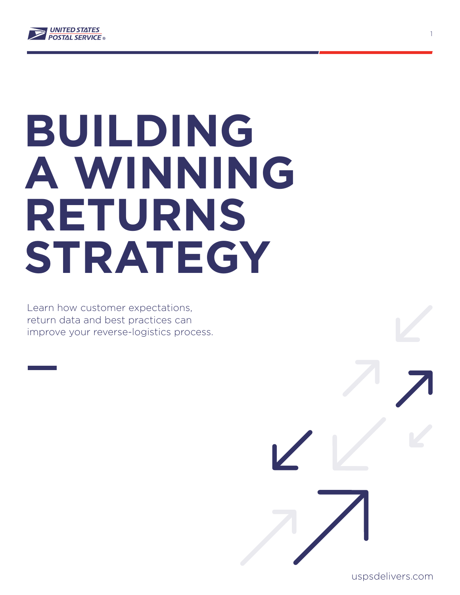

# **BUILDING A WINNING RETURNS STRATEGY**

Learn how customer expectations, return data and best practices can improve your reverse-logistics process.

uspsdelivers.com

1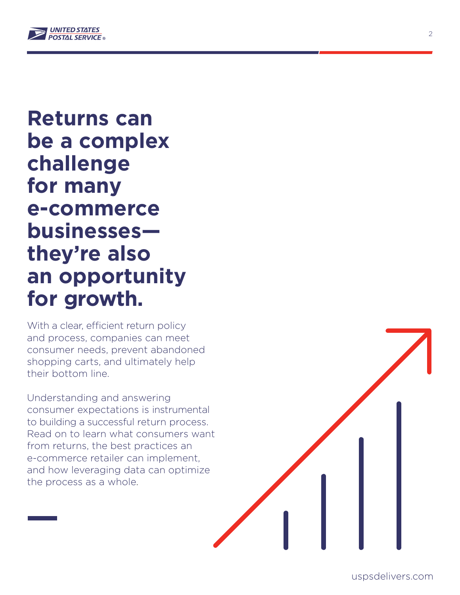

**Returns can be a complex challenge for many e-commerce businesses they're also an opportunity for growth.**

With a clear, efficient return policy and process, companies can meet consumer needs, prevent abandoned shopping carts, and ultimately help their bottom line.

Understanding and answering consumer expectations is instrumental to building a successful return process. Read on to learn what consumers want from returns, the best practices an e-commerce retailer can implement, and how leveraging data can optimize the process as a whole.

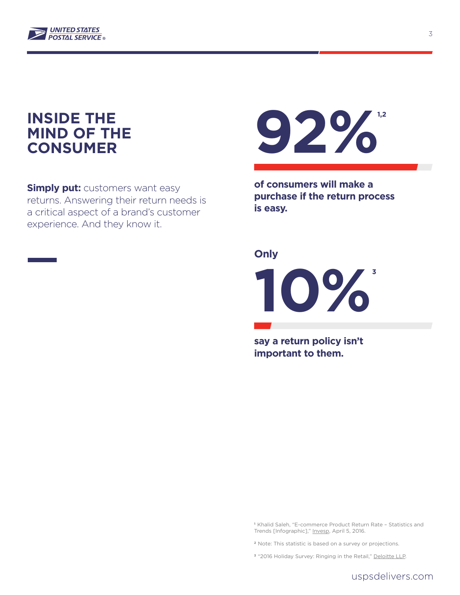

## **INSIDE THE MIND OF THE CONSUMER**

**Simply put:** customers want easy returns. Answering their return needs is a critical aspect of a brand's customer experience. And they know it.



**of consumers will make a purchase if the return process is easy.** 

#### **Only**

**10% 3**

**say a return policy isn't important to them.** 

**<sup>1</sup>**Khalid Saleh, "E-commerce Product Return Rate – Statistics and Trends [Infographic],[" Invesp,](http://www.invespcro.com/blog/ecommerce-product-return-rate-statistics) April 5, 2016.

- **<sup>2</sup>**Note: This statistic is based on a survey or projections.
- <sup>3</sup> "2016 Holiday Survey: Ringing in the Retail,[" Deloitte LLP.](http://www2.deloitte.com/content/dam/Deloitte/us/Documents/consumer-business/us-consumer-business-2016-holiday-survey-results.pdf)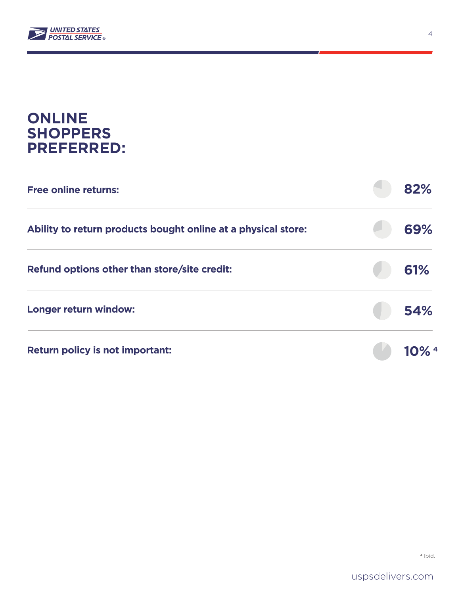

## **ONLINE SHOPPERS PREFERRED:**

| <b>Free online returns:</b>                                   | 82% |
|---------------------------------------------------------------|-----|
| Ability to return products bought online at a physical store: | 69% |
| Refund options other than store/site credit:                  | 61% |
| Longer return window:                                         | 54% |
| <b>Return policy is not important:</b>                        |     |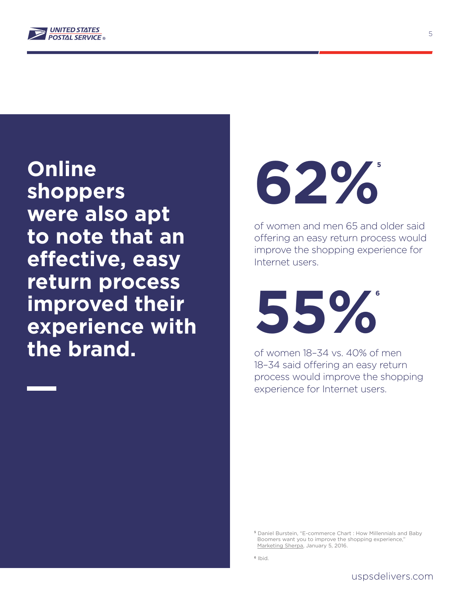

**Online shoppers were also apt to note that an effective, easy return process improved their experience with the brand.** 



of women and men 65 and older said offering an easy return process would improve the shopping experience for Internet users.

**55% 6**

of women 18–34 vs. 40% of men 18–34 said offering an easy return process would improve the shopping experience for Internet users.

**<sup>5</sup>** Daniel Burstein, "E-commerce Chart : How Millennials and Baby Boomers want you to improve the shopping experience,'  [Marketing Sherpa, J](https://www.marketingsherpa.com/article/chart/millennials-baby-boomers-want-improved-experience)anuary 5, 2016.

**<sup>6</sup>** Ibid.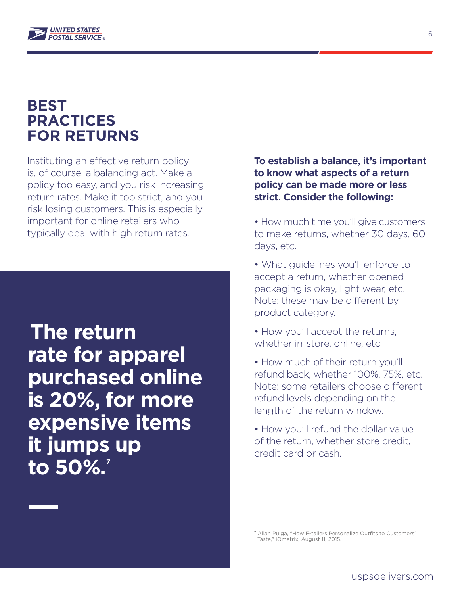

## **BEST PRACTICES FOR RETURNS**

Instituting an effective return policy is, of course, a balancing act. Make a policy too easy, and you risk increasing return rates. Make it too strict, and you risk losing customers. This is especially important for online retailers who typically deal with high return rates.

<sup>I</sup>**The return rate for apparel purchased online is 20%, for more expensive items it jumps up to 50%. 7**

**To establish a balance, it's important to know what aspects of a return policy can be made more or less strict. Consider the following:** 

- How much time you'll give customers to make returns, whether 30 days, 60 days, etc.
- What guidelines you'll enforce to accept a return, whether opened packaging is okay, light wear, etc. Note: these may be different by product category.
- How you'll accept the returns, whether in-store, online, etc.
- How much of their return you'll refund back, whether 100%, 75%, etc. Note: some retailers choose different refund levels depending on the length of the return window.
- How you'll refund the dollar value of the return, whether store credit, credit card or cash.

**<sup>7</sup>** Allan Pulga, "How E-tailers Personalize Outfits to Customers' Taste,[" iQmetrix,](http://www.iqmetrix.com/blog/how-e-tailers-personalize-outfits-to-customers-taste) August 11, 2015.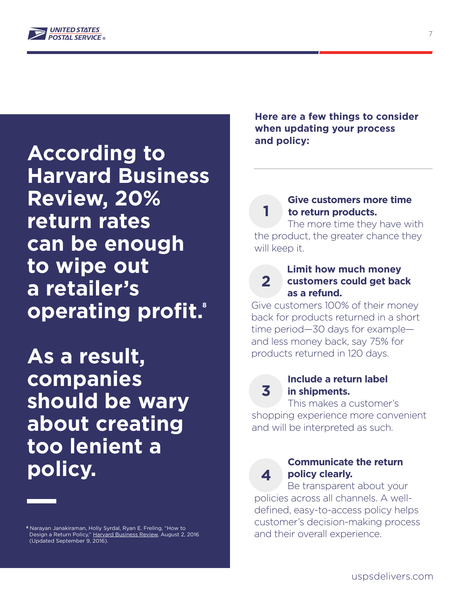

**According to Harvard Business Review, 20% return rates can be enough to wipe out a retailer's operating profit. 8**

**As a result, companies should be wary about creating too lenient a policy.** 

**<sup>8</sup>** Narayan Janakiraman, Holly Syrdal, Ryan E. Freling, "How to Design a Return Policy," [Harvard Business Review,](https://hbr.org/2016/08/how-to-design-a-return-policy) August 2, 2016 (Updated September 9, 2016).

**Here are a few things to consider when updating your process and policy:** 

## **Give customers more time to return products.**

 The more time they have with the product, the greater chance they will keep it.

#### **Limit how much money customers could get back as a refund. 2**

Give customers 100% of their money back for products returned in a short time period—30 days for example and less money back, say 75% for products returned in 120 days.

**3**

**1**

#### **Include a return label in shipments.**

 This makes a customer's shopping experience more convenient and will be interpreted as such.

**4**

## **Communicate the return policy clearly.**

 Be transparent about your policies across all channels. A welldefined, easy-to-access policy helps customer's decision-making process and their overall experience.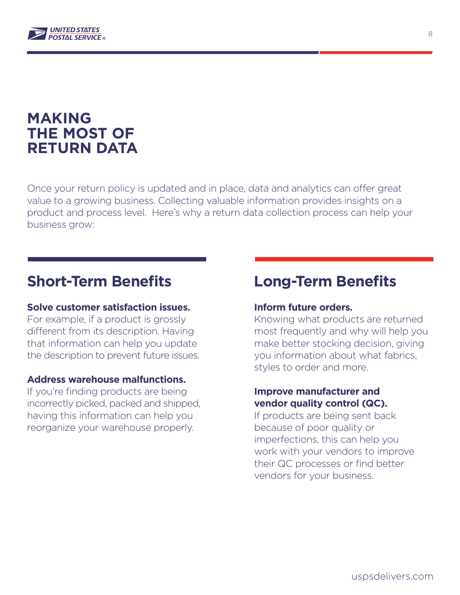

## **MAKING THE MOST OF RETURN DATA**

Once your return policy is updated and in place, data and analytics can offer great value to a growing business. Collecting valuable information provides insights on a product and process level. Here's why a return data collection process can help your business grow:

## **Short-Term Benefits**

#### **Solve customer satisfaction issues.**

For example, if a product is grossly different from its description. Having that information can help you update the description to prevent future issues.

#### **Address warehouse malfunctions.**

If you're finding products are being incorrectly picked, packed and shipped, having this information can help you reorganize your warehouse properly.

## **Long-Term Benefits**

#### **Inform future orders.**

Knowing what products are returned most frequently and why will help you make better stocking decision, giving you information about what fabrics, styles to order and more.

#### **Improve manufacturer and vendor quality control (QC).**

If products are being sent back because of poor quality or imperfections, this can help you work with your vendors to improve their QC processes or find better vendors for your business.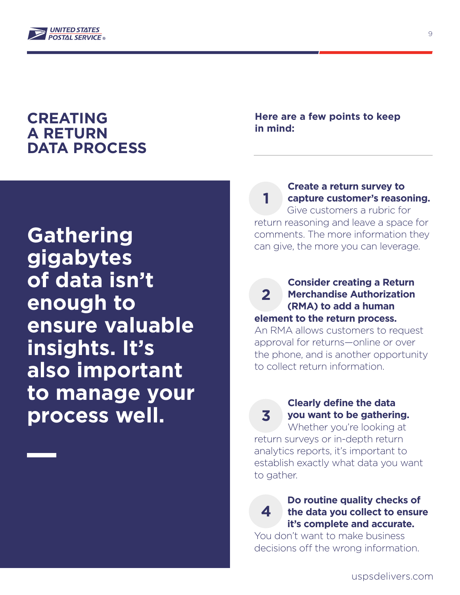

## **CREATING A RETURN DATA PROCESS**

**Gathering gigabytes of data isn't enough to ensure valuable insights. It's also important to manage your process well.**

**Here are a few points to keep in mind:** 

 **Create a return survey to capture customer's reasoning.** Give customers a rubric for return reasoning and leave a space for comments. The more information they **1**

can give, the more you can leverage.

 **Consider creating a Return Merchandise Authorization (RMA) to add a human element to the return process. 2**

An RMA allows customers to request approval for returns—online or over the phone, and is another opportunity to collect return information.

> **Clearly define the data you want to be gathering.**

**3**

 Whether you're looking at return surveys or in-depth return analytics reports, it's important to establish exactly what data you want to gather.

### **Do routine quality checks of the data you collect to ensure it's complete and accurate. 4**

You don't want to make business decisions off the wrong information.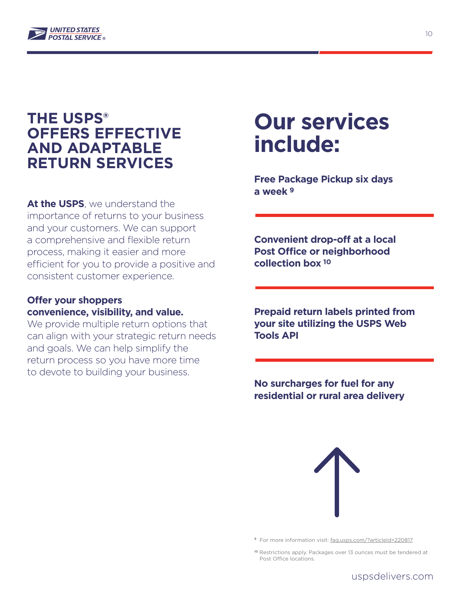

## **THE USPS® OFFERS EFFECTIVE AND ADAPTABLE RETURN SERVICES**

**At the USPS**, we understand the importance of returns to your business and your customers. We can support a comprehensive and flexible return process, making it easier and more efficient for you to provide a positive and consistent customer experience.

#### **Offer your shoppers convenience, visibility, and value.**

We provide multiple return options that can align with your strategic return needs and goals. We can help simplify the return process so you have more time to devote to building your business.

# **Our services include:**

**Free Package Pickup six days a week 9**

**Convenient drop-off at a local Post Office or neighborhood collection box 10**

**Prepaid return labels printed from your site utilizing the USPS Web Tools API** 

**No surcharges for fuel for any residential or rural area delivery**



<sup>9</sup> For more information visit:<faq.usps.com/?articleId=220817>

**<sup>10</sup>** Restrictions apply. Packages over 13 ounces must be tendered at Post Office locations.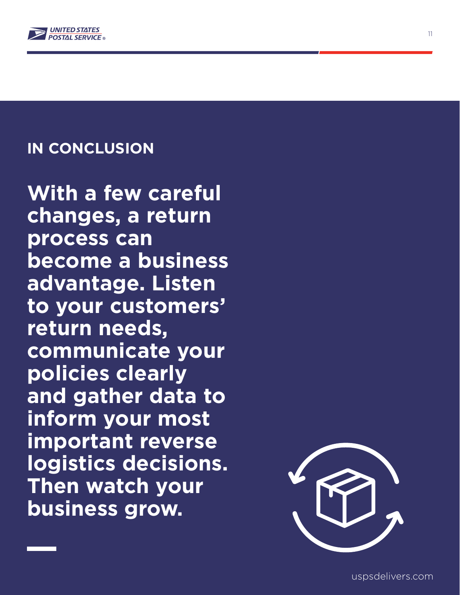

## **IN CONCLUSION**

**With a few careful changes, a return process can become a business advantage. Listen to your customers' return needs, communicate your policies clearly and gather data to inform your most important reverse logistics decisions. Then watch your business grow.**